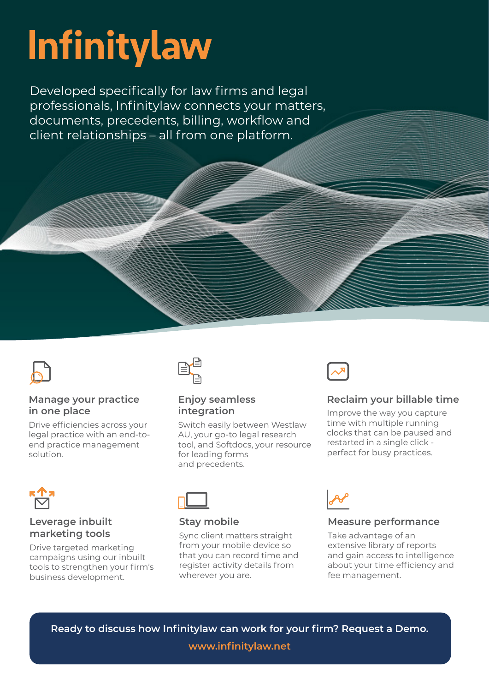# Infinitylaw

Developed specifically for law firms and legal professionals, Infinitylaw connects your matters, documents, precedents, billing, workflow and client relationships – all from one platform.



#### **Manage your practice in one place**

Drive efficiencies across your legal practice with an end-toend practice management solution.



#### **Enjoy seamless integration**

Switch easily between Westlaw AU, your go-to legal research tool, and Softdocs, your resource for leading forms and precedents.



# **Reclaim your billable time**

Improve the way you capture time with multiple running clocks that can be paused and restarted in a single click perfect for busy practices.



### **Leverage inbuilt marketing tools**

Drive targeted marketing campaigns using our inbuilt tools to strengthen your firm's business development.



#### **Stay mobile**

Sync client matters straight from your mobile device so that you can record time and register activity details from wherever you are.



# **Measure performance**

Take advantage of an extensive library of reports and gain access to intelligence about your time efficiency and fee management.

**Ready to discuss how Infinitylaw can work for your firm? Request a Demo. www.infinitylaw.net**